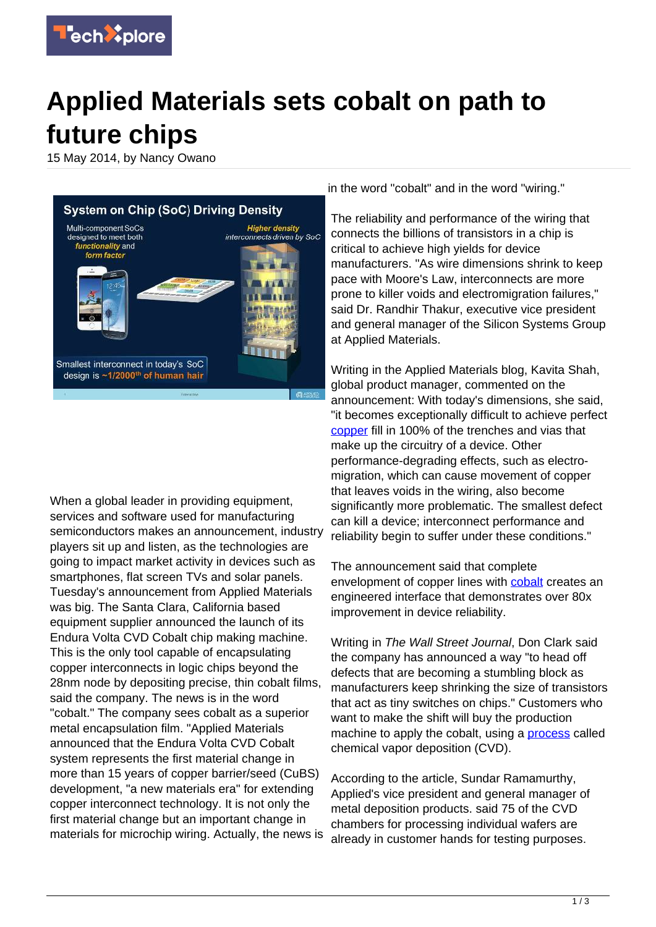

## **Applied Materials sets cobalt on path to future chips**

15 May 2014, by Nancy Owano



When a global leader in providing equipment, services and software used for manufacturing semiconductors makes an announcement, industry players sit up and listen, as the technologies are going to impact market activity in devices such as smartphones, flat screen TVs and solar panels. Tuesday's announcement from Applied Materials was big. The Santa Clara, California based equipment supplier announced the launch of its Endura Volta CVD Cobalt chip making machine. This is the only tool capable of encapsulating copper interconnects in logic chips beyond the 28nm node by depositing precise, thin cobalt films, said the company. The news is in the word "cobalt." The company sees cobalt as a superior metal encapsulation film. "Applied Materials announced that the Endura Volta CVD Cobalt system represents the first material change in more than 15 years of copper barrier/seed (CuBS) development, "a new materials era" for extending copper interconnect technology. It is not only the first material change but an important change in materials for microchip wiring. Actually, the news is

in the word "cobalt" and in the word "wiring."

The reliability and performance of the wiring that connects the billions of transistors in a chip is critical to achieve high yields for device manufacturers. "As wire dimensions shrink to keep pace with Moore's Law, interconnects are more prone to killer voids and electromigration failures," said Dr. Randhir Thakur, executive vice president and general manager of the Silicon Systems Group at Applied Materials.

Writing in the Applied Materials blog, Kavita Shah, global product manager, commented on the announcement: With today's dimensions, she said, "it becomes exceptionally difficult to achieve perfect [copper](https://techxplore.com/tags/copper/) fill in 100% of the trenches and vias that make up the circuitry of a device. Other performance-degrading effects, such as electromigration, which can cause movement of copper that leaves voids in the wiring, also become significantly more problematic. The smallest defect can kill a device; interconnect performance and reliability begin to suffer under these conditions."

The announcement said that complete envelopment of copper lines with [cobalt](https://techxplore.com/tags/cobalt/) creates an engineered interface that demonstrates over 80x improvement in device reliability.

Writing in The Wall Street Journal, Don Clark said the company has announced a way "to head off defects that are becoming a stumbling block as manufacturers keep shrinking the size of transistors that act as tiny switches on chips." Customers who want to make the shift will buy the production machine to apply the cobalt, using a **process** called chemical vapor deposition (CVD).

According to the article, Sundar Ramamurthy, Applied's vice president and general manager of metal deposition products. said 75 of the CVD chambers for processing individual wafers are already in customer hands for testing purposes.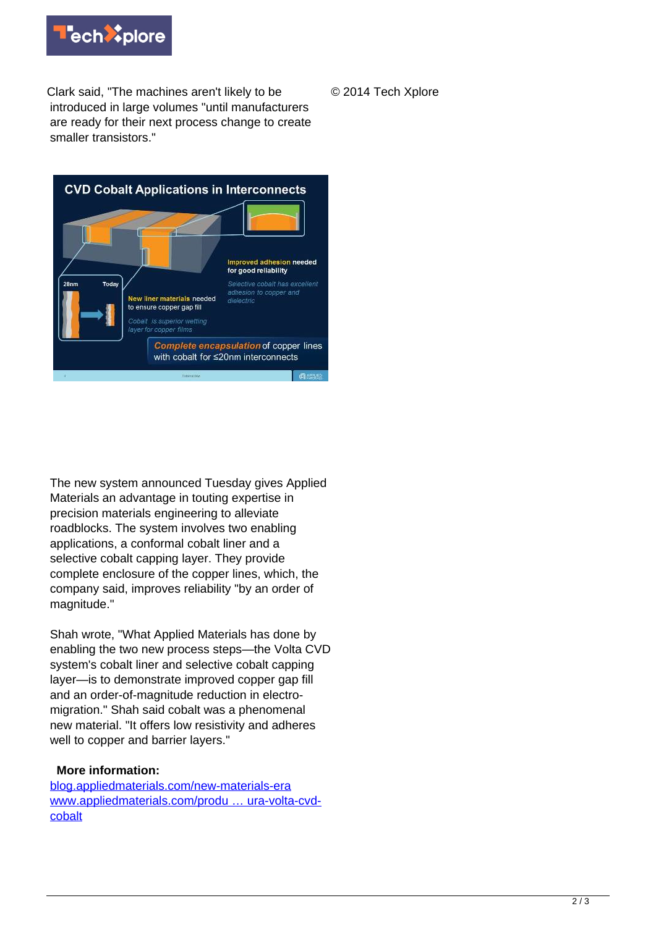

Clark said, "The machines aren't likely to be introduced in large volumes "until manufacturers are ready for their next process change to create smaller transistors."

© 2014 Tech Xplore



The new system announced Tuesday gives Applied Materials an advantage in touting expertise in precision materials engineering to alleviate roadblocks. The system involves two enabling applications, a conformal cobalt liner and a selective cobalt capping layer. They provide complete enclosure of the copper lines, which, the company said, improves reliability "by an order of magnitude."

Shah wrote, "What Applied Materials has done by enabling the two new process steps—the Volta CVD system's cobalt liner and selective cobalt capping layer—is to demonstrate improved copper gap fill and an order-of-magnitude reduction in electromigration." Shah said cobalt was a phenomenal new material. "It offers low resistivity and adheres well to copper and barrier layers."

## **More information:**

[blog.appliedmaterials.com/new-materials-era](http://blog.appliedmaterials.com/new-materials-era) [www.appliedmaterials.com/produ … ura-volta-cvd](http://www.appliedmaterials.com/products/endura-volta-cvd-cobalt)[cobalt](http://www.appliedmaterials.com/products/endura-volta-cvd-cobalt)